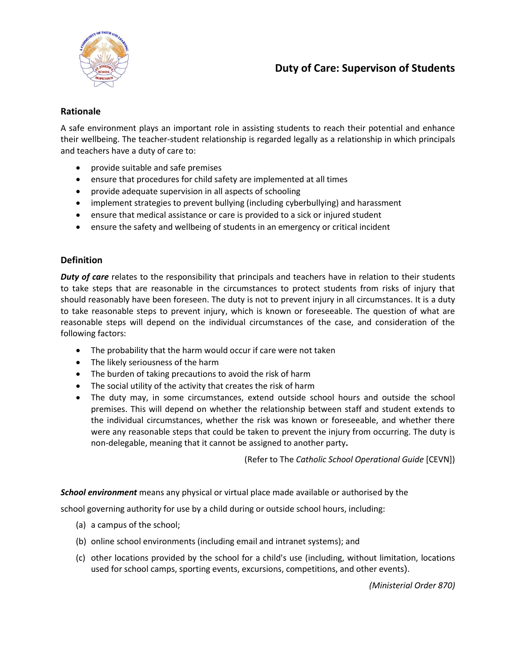

# **Rationale**

A safe environment plays an important role in assisting students to reach their potential and enhance their wellbeing. The teacher-student relationship is regarded legally as a relationship in which principals and teachers have a duty of care to:

- provide suitable and safe premises
- ensure that procedures for child safety are implemented at all times
- provide adequate supervision in all aspects of schooling
- implement strategies to prevent bullying (including cyberbullying) and harassment
- ensure that medical assistance or care is provided to a sick or injured student
- ensure the safety and wellbeing of students in an emergency or critical incident

# **Definition**

*Duty of care* relates to the responsibility that principals and teachers have in relation to their students to take steps that are reasonable in the circumstances to protect students from risks of injury that should reasonably have been foreseen. The duty is not to prevent injury in all circumstances. It is a duty to take reasonable steps to prevent injury, which is known or foreseeable. The question of what are reasonable steps will depend on the individual circumstances of the case, and consideration of the following factors:

- The probability that the harm would occur if care were not taken
- The likely seriousness of the harm
- The burden of taking precautions to avoid the risk of harm
- The social utility of the activity that creates the risk of harm
- The duty may, in some circumstances, extend outside school hours and outside the school premises. This will depend on whether the relationship between staff and student extends to the individual circumstances, whether the risk was known or foreseeable, and whether there were any reasonable steps that could be taken to prevent the injury from occurring. The duty is non-delegable, meaning that it cannot be assigned to another party**.**

(Refer to The *Catholic School Operational Guide* [CEVN])

*School environment* means any physical or virtual place made available or authorised by the

school governing authority for use by a child during or outside school hours, including:

- (a) a campus of the school;
- (b) online school environments (including email and intranet systems); and
- (c) other locations provided by the school for a child's use (including, without limitation, locations used for school camps, sporting events, excursions, competitions, and other events).

*(Ministerial Order 870)*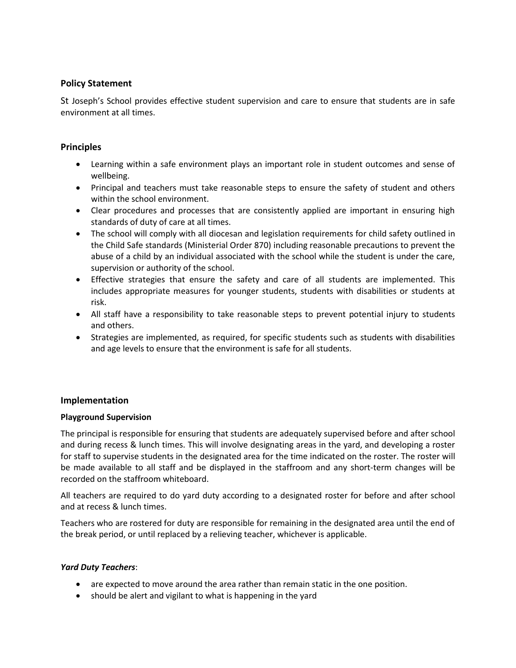## **Policy Statement**

St Joseph's School provides effective student supervision and care to ensure that students are in safe environment at all times.

### **Principles**

- Learning within a safe environment plays an important role in student outcomes and sense of wellbeing.
- Principal and teachers must take reasonable steps to ensure the safety of student and others within the school environment.
- Clear procedures and processes that are consistently applied are important in ensuring high standards of duty of care at all times.
- The school will comply with all diocesan and legislation requirements for child safety outlined in the Child Safe standards (Ministerial Order 870) including reasonable precautions to prevent the abuse of a child by an individual associated with the school while the student is under the care, supervision or authority of the school.
- Effective strategies that ensure the safety and care of all students are implemented. This includes appropriate measures for younger students, students with disabilities or students at risk.
- All staff have a responsibility to take reasonable steps to prevent potential injury to students and others.
- Strategies are implemented, as required, for specific students such as students with disabilities and age levels to ensure that the environment is safe for all students.

### **Implementation**

### **Playground Supervision**

The principal is responsible for ensuring that students are adequately supervised before and after school and during recess & lunch times. This will involve designating areas in the yard, and developing a roster for staff to supervise students in the designated area for the time indicated on the roster. The roster will be made available to all staff and be displayed in the staffroom and any short-term changes will be recorded on the staffroom whiteboard.

All teachers are required to do yard duty according to a designated roster for before and after school and at recess & lunch times.

Teachers who are rostered for duty are responsible for remaining in the designated area until the end of the break period, or until replaced by a relieving teacher, whichever is applicable.

### *Yard Duty Teachers*:

- are expected to move around the area rather than remain static in the one position.
- should be alert and vigilant to what is happening in the yard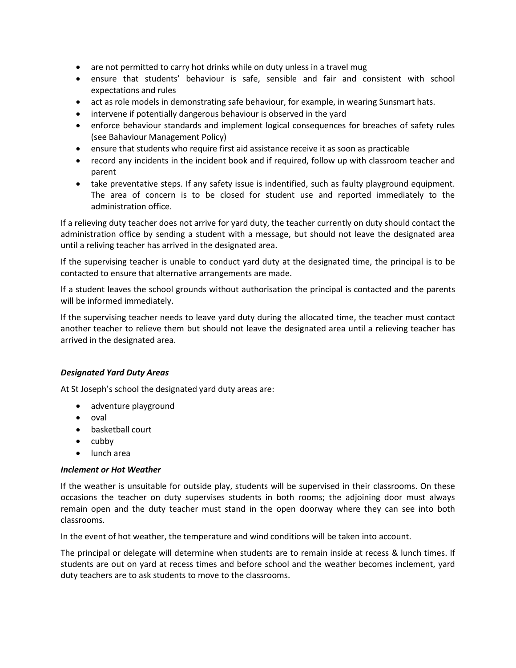- are not permitted to carry hot drinks while on duty unless in a travel mug
- ensure that students' behaviour is safe, sensible and fair and consistent with school expectations and rules
- act as role models in demonstrating safe behaviour, for example, in wearing Sunsmart hats.
- intervene if potentially dangerous behaviour is observed in the yard
- enforce behaviour standards and implement logical consequences for breaches of safety rules (see Bahaviour Management Policy)
- ensure that students who require first aid assistance receive it as soon as practicable
- record any incidents in the incident book and if required, follow up with classroom teacher and parent
- take preventative steps. If any safety issue is indentified, such as faulty playground equipment. The area of concern is to be closed for student use and reported immediately to the administration office.

If a relieving duty teacher does not arrive for yard duty, the teacher currently on duty should contact the administration office by sending a student with a message, but should not leave the designated area until a reliving teacher has arrived in the designated area.

If the supervising teacher is unable to conduct yard duty at the designated time, the principal is to be contacted to ensure that alternative arrangements are made.

If a student leaves the school grounds without authorisation the principal is contacted and the parents will be informed immediately.

If the supervising teacher needs to leave yard duty during the allocated time, the teacher must contact another teacher to relieve them but should not leave the designated area until a relieving teacher has arrived in the designated area.

## *Designated Yard Duty Areas*

At St Joseph's school the designated yard duty areas are:

- adventure playground
- oval
- basketball court
- $\bullet$  cubby
- lunch area

### *Inclement or Hot Weather*

If the weather is unsuitable for outside play, students will be supervised in their classrooms. On these occasions the teacher on duty supervises students in both rooms; the adjoining door must always remain open and the duty teacher must stand in the open doorway where they can see into both classrooms.

In the event of hot weather, the temperature and wind conditions will be taken into account.

The principal or delegate will determine when students are to remain inside at recess & lunch times. If students are out on yard at recess times and before school and the weather becomes inclement, yard duty teachers are to ask students to move to the classrooms.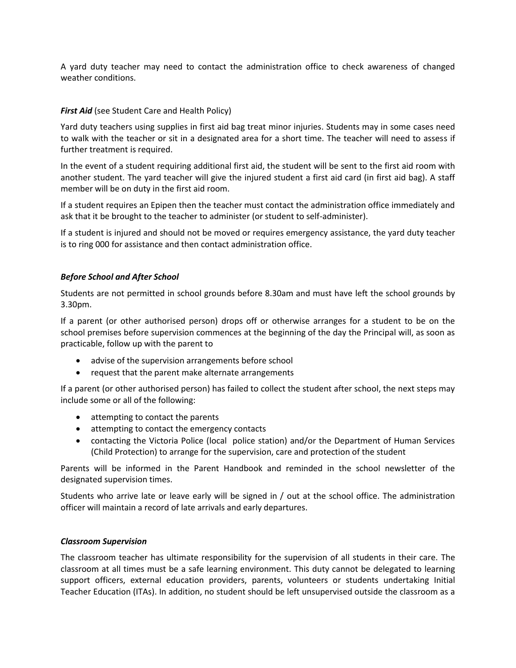A yard duty teacher may need to contact the administration office to check awareness of changed weather conditions.

### **First Aid** (see Student Care and Health Policy)

Yard duty teachers using supplies in first aid bag treat minor injuries. Students may in some cases need to walk with the teacher or sit in a designated area for a short time. The teacher will need to assess if further treatment is required.

In the event of a student requiring additional first aid, the student will be sent to the first aid room with another student. The yard teacher will give the injured student a first aid card (in first aid bag). A staff member will be on duty in the first aid room.

If a student requires an Epipen then the teacher must contact the administration office immediately and ask that it be brought to the teacher to administer (or student to self-administer).

If a student is injured and should not be moved or requires emergency assistance, the yard duty teacher is to ring 000 for assistance and then contact administration office.

#### *Before School and After School*

Students are not permitted in school grounds before 8.30am and must have left the school grounds by 3.30pm.

If a parent (or other authorised person) drops off or otherwise arranges for a student to be on the school premises before supervision commences at the beginning of the day the Principal will, as soon as practicable, follow up with the parent to

- advise of the supervision arrangements before school
- request that the parent make alternate arrangements

If a parent (or other authorised person) has failed to collect the student after school, the next steps may include some or all of the following:

- attempting to contact the parents
- attempting to contact the emergency contacts
- contacting the Victoria Police (local police station) and/or the Department of Human Services (Child Protection) to arrange for the supervision, care and protection of the student

Parents will be informed in the Parent Handbook and reminded in the school newsletter of the designated supervision times.

Students who arrive late or leave early will be signed in / out at the school office. The administration officer will maintain a record of late arrivals and early departures.

#### *Classroom Supervision*

The classroom teacher has ultimate responsibility for the supervision of all students in their care. The classroom at all times must be a safe learning environment. This duty cannot be delegated to learning support officers, external education providers, parents, volunteers or students undertaking Initial Teacher Education (ITAs). In addition, no student should be left unsupervised outside the classroom as a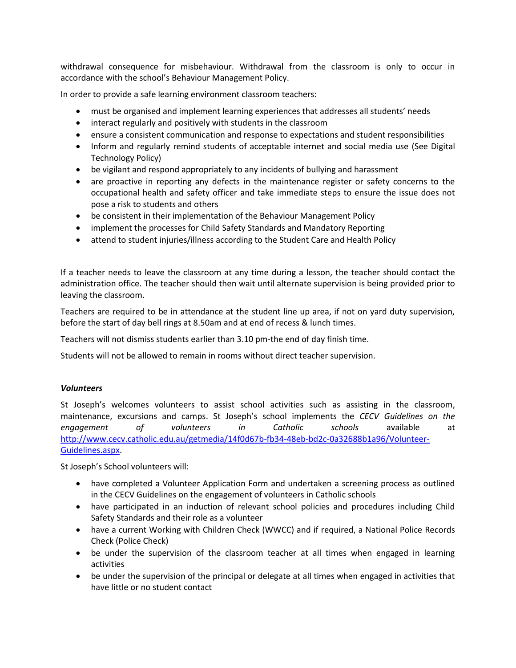withdrawal consequence for misbehaviour. Withdrawal from the classroom is only to occur in accordance with the school's Behaviour Management Policy.

In order to provide a safe learning environment classroom teachers:

- must be organised and implement learning experiences that addresses all students' needs
- interact regularly and positively with students in the classroom
- ensure a consistent communication and response to expectations and student responsibilities
- Inform and regularly remind students of acceptable internet and social media use (See Digital Technology Policy)
- be vigilant and respond appropriately to any incidents of bullying and harassment
- are proactive in reporting any defects in the maintenance register or safety concerns to the occupational health and safety officer and take immediate steps to ensure the issue does not pose a risk to students and others
- be consistent in their implementation of the Behaviour Management Policy
- implement the processes for Child Safety Standards and Mandatory Reporting
- attend to student injuries/illness according to the Student Care and Health Policy

If a teacher needs to leave the classroom at any time during a lesson, the teacher should contact the administration office. The teacher should then wait until alternate supervision is being provided prior to leaving the classroom.

Teachers are required to be in attendance at the student line up area, if not on yard duty supervision, before the start of day bell rings at 8.50am and at end of recess & lunch times.

Teachers will not dismiss students earlier than 3.10 pm-the end of day finish time.

Students will not be allowed to remain in rooms without direct teacher supervision.

### *Volunteers*

St Joseph's welcomes volunteers to assist school activities such as assisting in the classroom, maintenance, excursions and camps. St Joseph's school implements the *CECV Guidelines on the engagement of volunteers in Catholic schools* available at [http://www.cecv.catholic.edu.au/getmedia/14f0d67b-fb34-48eb-bd2c-0a32688b1a96/Volunteer-](http://www.cecv.catholic.edu.au/getmedia/14f0d67b-fb34-48eb-bd2c-0a32688b1a96/Volunteer-Guidelines.aspx)[Guidelines.aspx.](http://www.cecv.catholic.edu.au/getmedia/14f0d67b-fb34-48eb-bd2c-0a32688b1a96/Volunteer-Guidelines.aspx)

St Joseph's School volunteers will:

- have completed a Volunteer Application Form and undertaken a screening process as outlined in the CECV Guidelines on the engagement of volunteers in Catholic schools
- have participated in an induction of relevant school policies and procedures including Child Safety Standards and their role as a volunteer
- have a current Working with Children Check (WWCC) and if required, a National Police Records Check (Police Check)
- be under the supervision of the classroom teacher at all times when engaged in learning activities
- be under the supervision of the principal or delegate at all times when engaged in activities that have little or no student contact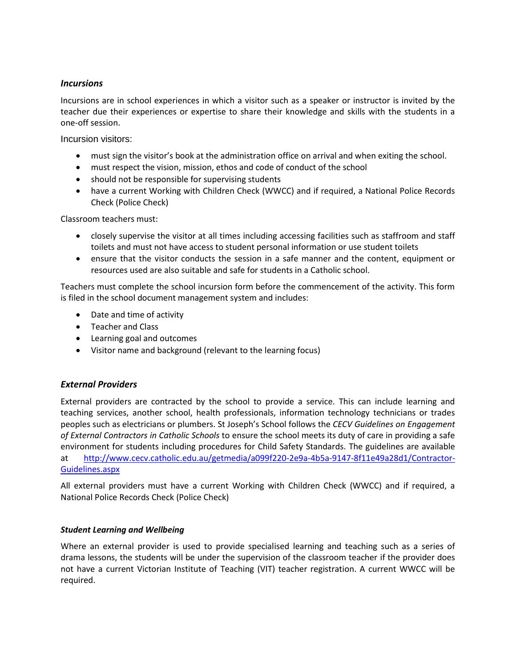### *Incursions*

Incursions are in school experiences in which a visitor such as a speaker or instructor is invited by the teacher due their experiences or expertise to share their knowledge and skills with the students in a one-off session.

Incursion visitors:

- must sign the visitor's book at the administration office on arrival and when exiting the school.
- must respect the vision, mission, ethos and code of conduct of the school
- should not be responsible for supervising students
- have a current Working with Children Check (WWCC) and if required, a National Police Records Check (Police Check)

Classroom teachers must:

- closely supervise the visitor at all times including accessing facilities such as staffroom and staff toilets and must not have access to student personal information or use student toilets
- ensure that the visitor conducts the session in a safe manner and the content, equipment or resources used are also suitable and safe for students in a Catholic school.

Teachers must complete the school incursion form before the commencement of the activity. This form is filed in the school document management system and includes:

- Date and time of activity
- Teacher and Class
- Learning goal and outcomes
- Visitor name and background (relevant to the learning focus)

### *External Providers*

External providers are contracted by the school to provide a service. This can include learning and teaching services, another school, health professionals, information technology technicians or trades peoples such as electricians or plumbers. St Joseph's School follows the *CECV Guidelines on Engagement of External Contractors in Catholic Schools* to ensure the school meets its duty of care in providing a safe environment for students including procedures for Child Safety Standards. The guidelines are available at [http://www.cecv.catholic.edu.au/getmedia/a099f220-2e9a-4b5a-9147-8f11e49a28d1/Contractor-](http://www.cecv.catholic.edu.au/getmedia/a099f220-2e9a-4b5a-9147-8f11e49a28d1/Contractor-Guidelines.aspx)[Guidelines.aspx](http://www.cecv.catholic.edu.au/getmedia/a099f220-2e9a-4b5a-9147-8f11e49a28d1/Contractor-Guidelines.aspx)

All external providers must have a current Working with Children Check (WWCC) and if required, a National Police Records Check (Police Check)

### *Student Learning and Wellbeing*

Where an external provider is used to provide specialised learning and teaching such as a series of drama lessons, the students will be under the supervision of the classroom teacher if the provider does not have a current Victorian Institute of Teaching (VIT) teacher registration. A current WWCC will be required.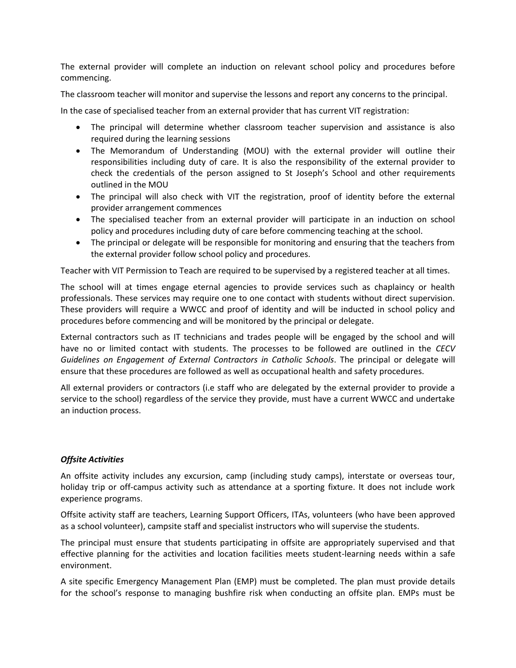The external provider will complete an induction on relevant school policy and procedures before commencing.

The classroom teacher will monitor and supervise the lessons and report any concerns to the principal.

In the case of specialised teacher from an external provider that has current VIT registration:

- The principal will determine whether classroom teacher supervision and assistance is also required during the learning sessions
- The Memorandum of Understanding (MOU) with the external provider will outline their responsibilities including duty of care. It is also the responsibility of the external provider to check the credentials of the person assigned to St Joseph's School and other requirements outlined in the MOU
- The principal will also check with VIT the registration, proof of identity before the external provider arrangement commences
- The specialised teacher from an external provider will participate in an induction on school policy and procedures including duty of care before commencing teaching at the school.
- The principal or delegate will be responsible for monitoring and ensuring that the teachers from the external provider follow school policy and procedures.

Teacher with VIT Permission to Teach are required to be supervised by a registered teacher at all times.

The school will at times engage eternal agencies to provide services such as chaplaincy or health professionals. These services may require one to one contact with students without direct supervision. These providers will require a WWCC and proof of identity and will be inducted in school policy and procedures before commencing and will be monitored by the principal or delegate.

External contractors such as IT technicians and trades people will be engaged by the school and will have no or limited contact with students. The processes to be followed are outlined in the *CECV Guidelines on Engagement of External Contractors in Catholic Schools*. The principal or delegate will ensure that these procedures are followed as well as occupational health and safety procedures.

All external providers or contractors (i.e staff who are delegated by the external provider to provide a service to the school) regardless of the service they provide, must have a current WWCC and undertake an induction process.

### *Offsite Activities*

An offsite activity includes any excursion, camp (including study camps), interstate or overseas tour, holiday trip or off-campus activity such as attendance at a sporting fixture. It does not include work experience programs.

Offsite activity staff are teachers, Learning Support Officers, ITAs, volunteers (who have been approved as a school volunteer), campsite staff and specialist instructors who will supervise the students.

The principal must ensure that students participating in offsite are appropriately supervised and that effective planning for the activities and location facilities meets student-learning needs within a safe environment.

A site specific Emergency Management Plan (EMP) must be completed. The plan must provide details for the school's response to managing bushfire risk when conducting an offsite plan. EMPs must be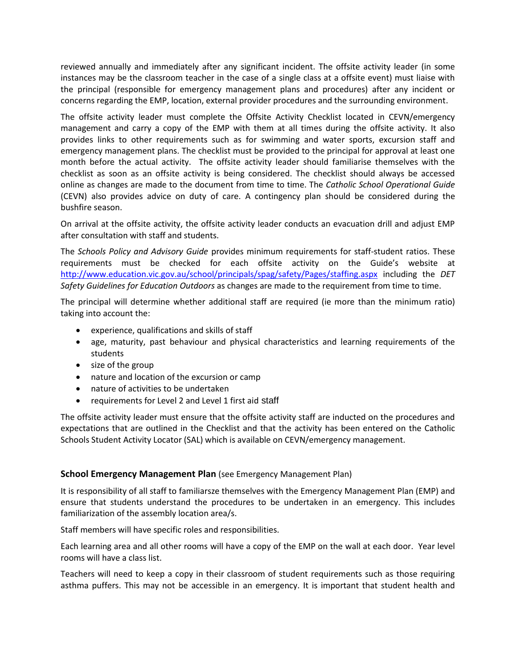reviewed annually and immediately after any significant incident. The offsite activity leader (in some instances may be the classroom teacher in the case of a single class at a offsite event) must liaise with the principal (responsible for emergency management plans and procedures) after any incident or concerns regarding the EMP, location, external provider procedures and the surrounding environment.

The offsite activity leader must complete the Offsite Activity Checklist located in CEVN/emergency management and carry a copy of the EMP with them at all times during the offsite activity. It also provides links to other requirements such as for swimming and water sports, excursion staff and emergency management plans. The checklist must be provided to the principal for approval at least one month before the actual activity. The offsite activity leader should familiarise themselves with the checklist as soon as an offsite activity is being considered. The checklist should always be accessed online as changes are made to the document from time to time. The *Catholic School Operational Guide* (CEVN) also provides advice on duty of care. A contingency plan should be considered during the bushfire season.

On arrival at the offsite activity, the offsite activity leader conducts an evacuation drill and adjust EMP after consultation with staff and students.

The *Schools Policy and Advisory Guide* provides minimum requirements for staff-student ratios. These requirements must be checked for each offsite activity on the Guide's website at <http://www.education.vic.gov.au/school/principals/spag/safety/Pages/staffing.aspx> including the *DET Safety Guidelines for Education Outdoors* as changes are made to the requirement from time to time.

The principal will determine whether additional staff are required (ie more than the minimum ratio) taking into account the:

- experience, qualifications and skills of staff
- age, maturity, past behaviour and physical characteristics and learning requirements of the students
- size of the group
- nature and location of the excursion or camp
- nature of activities to be undertaken
- requirements for Level 2 and Level 1 first aid staff

The offsite activity leader must ensure that the offsite activity staff are inducted on the procedures and expectations that are outlined in the Checklist and that the activity has been entered on the Catholic Schools Student Activity Locator (SAL) which is available on CEVN/emergency management.

### **School Emergency Management Plan** (see Emergency Management Plan)

It is responsibility of all staff to familiarsze themselves with the Emergency Management Plan (EMP) and ensure that students understand the procedures to be undertaken in an emergency. This includes familiarization of the assembly location area/s.

Staff members will have specific roles and responsibilities.

Each learning area and all other rooms will have a copy of the EMP on the wall at each door. Year level rooms will have a class list.

Teachers will need to keep a copy in their classroom of student requirements such as those requiring asthma puffers. This may not be accessible in an emergency. It is important that student health and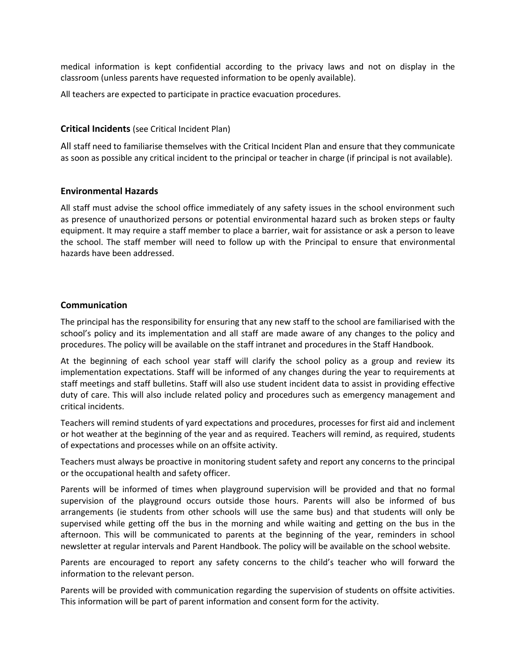medical information is kept confidential according to the privacy laws and not on display in the classroom (unless parents have requested information to be openly available).

All teachers are expected to participate in practice evacuation procedures.

#### **Critical Incidents** (see Critical Incident Plan)

All staff need to familiarise themselves with the Critical Incident Plan and ensure that they communicate as soon as possible any critical incident to the principal or teacher in charge (if principal is not available).

### **Environmental Hazards**

All staff must advise the school office immediately of any safety issues in the school environment such as presence of unauthorized persons or potential environmental hazard such as broken steps or faulty equipment. It may require a staff member to place a barrier, wait for assistance or ask a person to leave the school. The staff member will need to follow up with the Principal to ensure that environmental hazards have been addressed.

### **Communication**

The principal has the responsibility for ensuring that any new staff to the school are familiarised with the school's policy and its implementation and all staff are made aware of any changes to the policy and procedures. The policy will be available on the staff intranet and procedures in the Staff Handbook.

At the beginning of each school year staff will clarify the school policy as a group and review its implementation expectations. Staff will be informed of any changes during the year to requirements at staff meetings and staff bulletins. Staff will also use student incident data to assist in providing effective duty of care. This will also include related policy and procedures such as emergency management and critical incidents.

Teachers will remind students of yard expectations and procedures, processes for first aid and inclement or hot weather at the beginning of the year and as required. Teachers will remind, as required, students of expectations and processes while on an offsite activity.

Teachers must always be proactive in monitoring student safety and report any concerns to the principal or the occupational health and safety officer.

Parents will be informed of times when playground supervision will be provided and that no formal supervision of the playground occurs outside those hours. Parents will also be informed of bus arrangements (ie students from other schools will use the same bus) and that students will only be supervised while getting off the bus in the morning and while waiting and getting on the bus in the afternoon. This will be communicated to parents at the beginning of the year, reminders in school newsletter at regular intervals and Parent Handbook. The policy will be available on the school website.

Parents are encouraged to report any safety concerns to the child's teacher who will forward the information to the relevant person.

Parents will be provided with communication regarding the supervision of students on offsite activities. This information will be part of parent information and consent form for the activity.